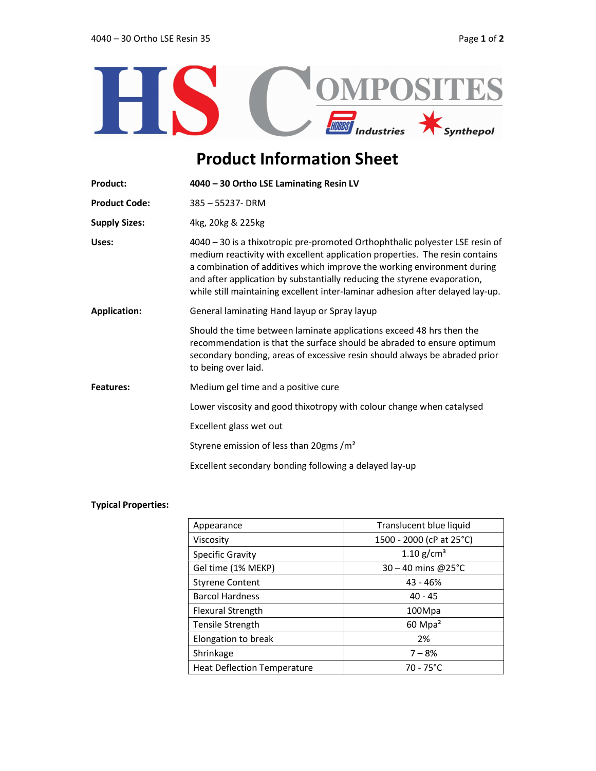

## Product Information Sheet

| 4040 - 30 Ortho LSE Laminating Resin LV                                                                                                                                                                                                                                                                                                                                                              |  |
|------------------------------------------------------------------------------------------------------------------------------------------------------------------------------------------------------------------------------------------------------------------------------------------------------------------------------------------------------------------------------------------------------|--|
| 385 - 55237- DRM                                                                                                                                                                                                                                                                                                                                                                                     |  |
| 4kg, 20kg & 225kg                                                                                                                                                                                                                                                                                                                                                                                    |  |
| 4040 - 30 is a thixotropic pre-promoted Orthophthalic polyester LSE resin of<br>medium reactivity with excellent application properties. The resin contains<br>a combination of additives which improve the working environment during<br>and after application by substantially reducing the styrene evaporation,<br>while still maintaining excellent inter-laminar adhesion after delayed lay-up. |  |
| General laminating Hand layup or Spray layup<br><b>Application:</b>                                                                                                                                                                                                                                                                                                                                  |  |
| Should the time between laminate applications exceed 48 hrs then the<br>recommendation is that the surface should be abraded to ensure optimum<br>secondary bonding, areas of excessive resin should always be abraded prior<br>to being over laid.                                                                                                                                                  |  |
| Medium gel time and a positive cure                                                                                                                                                                                                                                                                                                                                                                  |  |
| Lower viscosity and good thixotropy with colour change when catalysed                                                                                                                                                                                                                                                                                                                                |  |
| Excellent glass wet out                                                                                                                                                                                                                                                                                                                                                                              |  |
| Styrene emission of less than 20gms /m <sup>2</sup>                                                                                                                                                                                                                                                                                                                                                  |  |
| Excellent secondary bonding following a delayed lay-up                                                                                                                                                                                                                                                                                                                                               |  |
|                                                                                                                                                                                                                                                                                                                                                                                                      |  |

## Typical Properties:

| Appearance                  | Translucent blue liquid  |
|-----------------------------|--------------------------|
| Viscosity                   | 1500 - 2000 (cP at 25°C) |
| <b>Specific Gravity</b>     | 1.10 $g/cm^{3}$          |
| Gel time (1% MEKP)          | $30 - 40$ mins @25°C     |
| <b>Styrene Content</b>      | 43 - 46%                 |
| <b>Barcol Hardness</b>      | $40 - 45$                |
| <b>Flexural Strength</b>    | 100Mpa                   |
| Tensile Strength            | $60$ Mpa <sup>2</sup>    |
| Elongation to break         | 2%                       |
| Shrinkage                   | $7 - 8%$                 |
| Heat Deflection Temperature | $70 - 75^{\circ}$ C      |